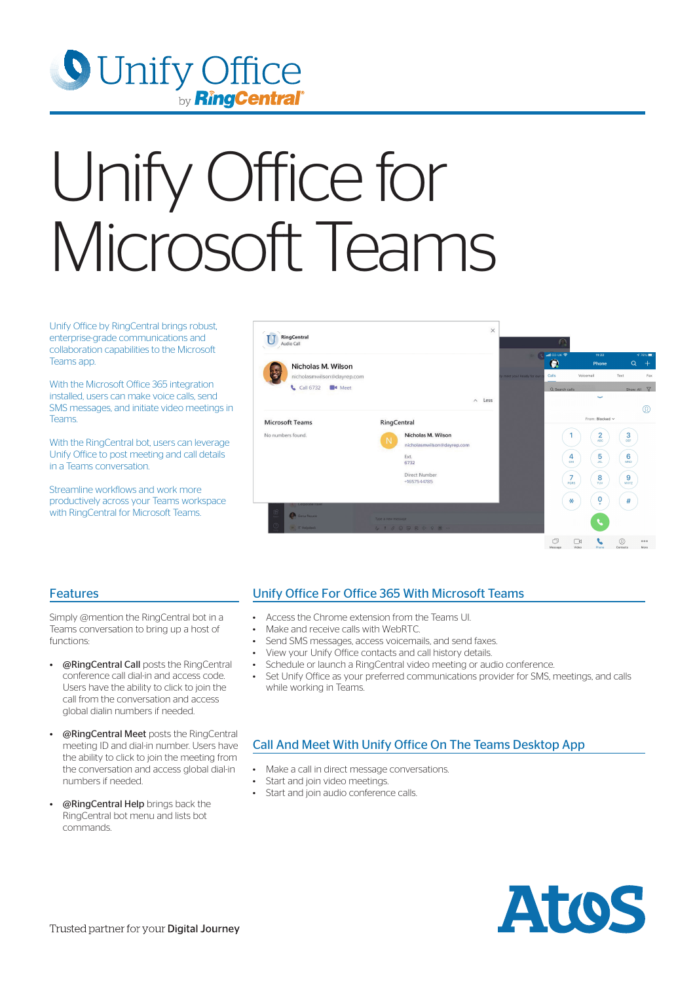

# Unify Office for Microsoft Teams

Unify Office by RingCentral brings robust, enterprise-grade communications and collaboration capabilities to the Microsoft Teams app.

With the Microsoft Office 365 integration installed, users can make voice calls, send SMS messages, and initiate video meetings in **Teams** 

With the RingCentral bot, users can leverage Unify Office to post meeting and call details in a Teams conversation.

Streamline workflows and work more productively across your Teams workspace with RingCentral for Microsoft Teams.



#### Features

Simply @mention the RingCentral bot in a Teams conversation to bring up a host of functions:

- **@RingCentral Call** posts the RingCentral conference call dial-in and access code. Users have the ability to click to join the call from the conversation and access global dialin numbers if needed.
- **@RingCentral Meet** posts the RingCentral meeting ID and dial-in number. Users have the ability to click to join the meeting from the conversation and access global dial-in numbers if needed.
- @RingCentral Help brings back the RingCentral bot menu and lists bot commands.

## Unify Office For Office 365 With Microsoft Teams

- Access the Chrome extension from the Teams UI.
- Make and receive calls with WebRTC.
- Send SMS messages, access voicemails, and send faxes.
- View your Unify Office contacts and call history details.
- Schedule or launch a RingCentral video meeting or audio conference.
- Set Unify Office as your preferred communications provider for SMS, meetings, and calls while working in Teams.

## Call And Meet With Unify Office On The Teams Desktop App

- Make a call in direct message conversations.
- Start and join video meetings.
- Start and join audio conference calls.